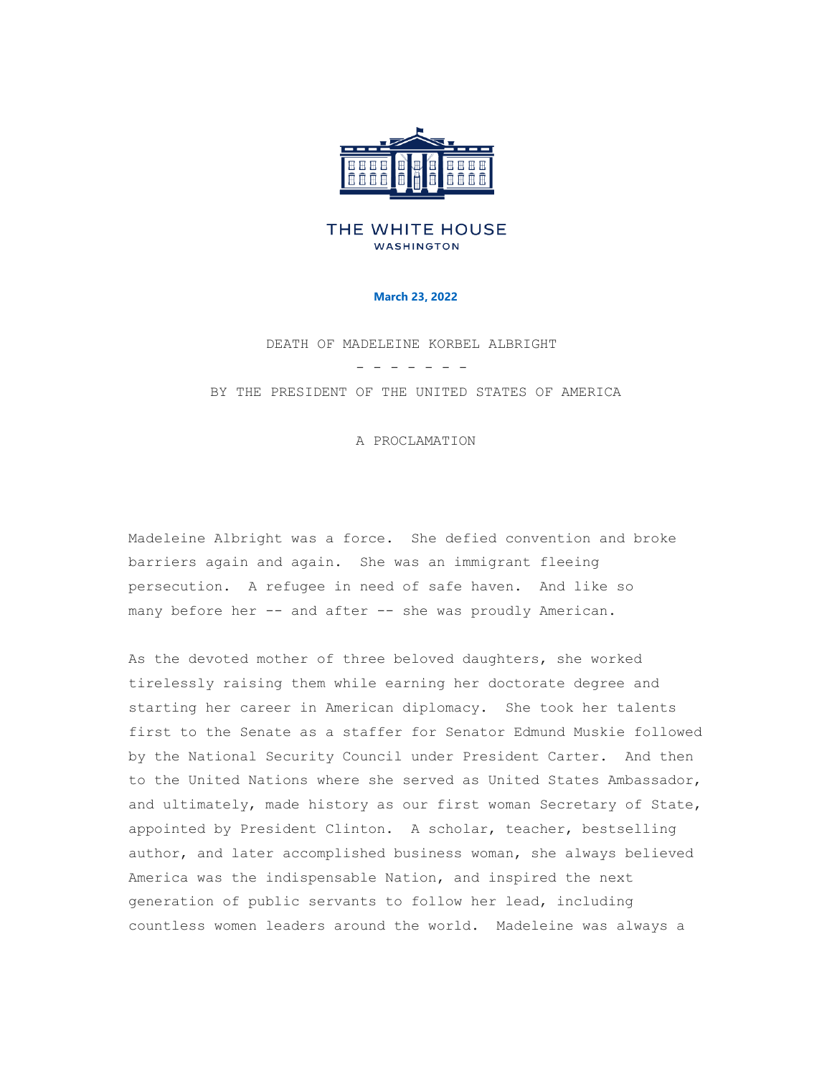

## THE WHITE HOUSE **WASHINGTON**

## **March 23, 2022**

DEATH OF MADELEINE KORBEL ALBRIGHT - - - - - - -

BY THE PRESIDENT OF THE UNITED STATES OF AMERICA

A PROCLAMATION

Madeleine Albright was a force. She defied convention and broke barriers again and again. She was an immigrant fleeing persecution. A refugee in need of safe haven. And like so many before her -- and after -- she was proudly American.

As the devoted mother of three beloved daughters, she worked tirelessly raising them while earning her doctorate degree and starting her career in American diplomacy. She took her talents first to the Senate as a staffer for Senator Edmund Muskie followed by the National Security Council under President Carter. And then to the United Nations where she served as United States Ambassador, and ultimately, made history as our first woman Secretary of State, appointed by President Clinton. A scholar, teacher, bestselling author, and later accomplished business woman, she always believed America was the indispensable Nation, and inspired the next generation of public servants to follow her lead, including countless women leaders around the world. Madeleine was always a